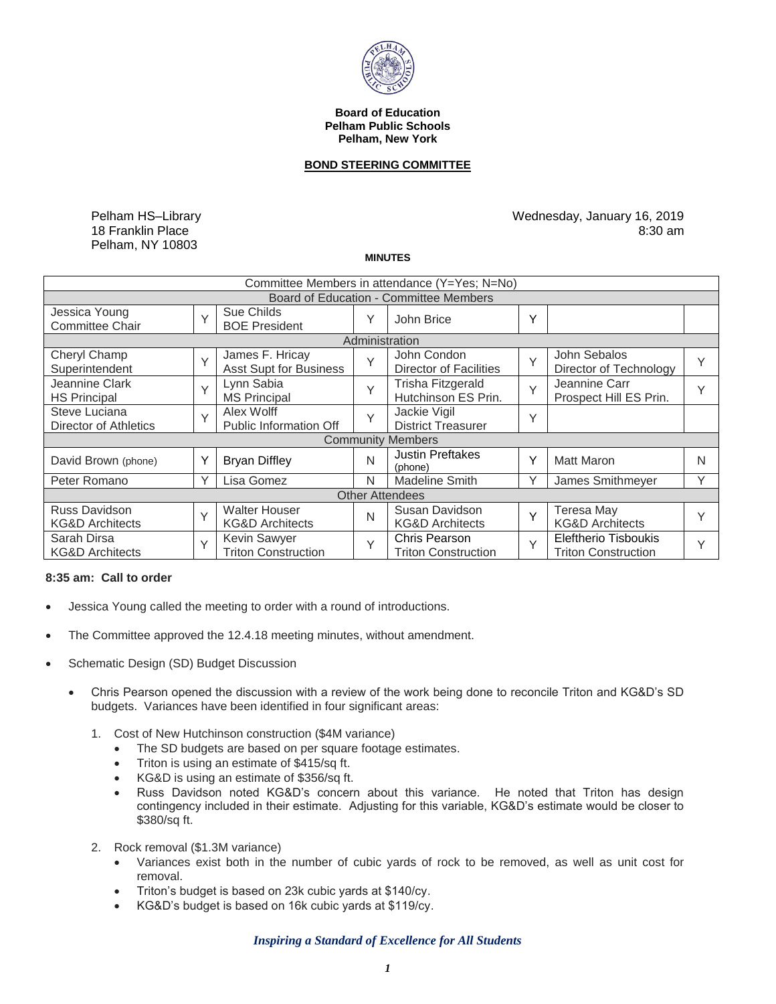

#### **Board of Education Pelham Public Schools Pelham, New York**

## **BOND STEERING COMMITTEE**

Pelham HS–Library 18 Franklin Place Pelham, NY 10803

Wednesday, January 16, 2019 8:30 am

#### **MINUTES**

| Committee Members in attendance (Y=Yes; N=No) |        |                                                    |              |                                                    |   |                                                           |              |
|-----------------------------------------------|--------|----------------------------------------------------|--------------|----------------------------------------------------|---|-----------------------------------------------------------|--------------|
| Board of Education - Committee Members        |        |                                                    |              |                                                    |   |                                                           |              |
| Jessica Young<br><b>Committee Chair</b>       | $\vee$ | Sue Childs<br><b>BOE President</b>                 | Υ            | John Brice                                         | Υ |                                                           |              |
| Administration                                |        |                                                    |              |                                                    |   |                                                           |              |
| Cheryl Champ<br>Superintendent                | $\vee$ | James F. Hricay<br><b>Asst Supt for Business</b>   | $\checkmark$ | John Condon<br>Director of Facilities              | Y | John Sebalos<br>Director of Technology                    | $\checkmark$ |
| Jeannine Clark<br><b>HS Principal</b>         | Y      | Lynn Sabia<br><b>MS Principal</b>                  | $\vee$       | Trisha Fitzgerald<br>Hutchinson ES Prin.           | Y | Jeannine Carr<br>Prospect Hill ES Prin.                   | Υ            |
| Steve Luciana<br>Director of Athletics        | $\vee$ | Alex Wolff<br><b>Public Information Off</b>        | Y            | Jackie Vigil<br><b>District Treasurer</b>          | Υ |                                                           |              |
| <b>Community Members</b>                      |        |                                                    |              |                                                    |   |                                                           |              |
| David Brown (phone)                           | Υ      | <b>Bryan Diffley</b>                               | N            | <b>Justin Preftakes</b><br>(phone)                 | Υ | <b>Matt Maron</b>                                         | N            |
| Peter Romano                                  |        | Lisa Gomez                                         | N            | <b>Madeline Smith</b>                              | Υ | James Smithmeyer                                          | Υ            |
| <b>Other Attendees</b>                        |        |                                                    |              |                                                    |   |                                                           |              |
| Russ Davidson<br><b>KG&amp;D Architects</b>   | $\vee$ | <b>Walter Houser</b><br><b>KG&amp;D Architects</b> | N            | Susan Davidson<br><b>KG&amp;D Architects</b>       | Y | Teresa May<br><b>KG&amp;D Architects</b>                  | $\checkmark$ |
| Sarah Dirsa<br><b>KG&amp;D Architects</b>     | $\vee$ | Kevin Sawyer<br><b>Triton Construction</b>         | $\vee$       | <b>Chris Pearson</b><br><b>Triton Construction</b> | Y | <b>Eleftherio Tisboukis</b><br><b>Triton Construction</b> | $\vee$       |

### **8:35 am: Call to order**

- Jessica Young called the meeting to order with a round of introductions.
- The Committee approved the 12.4.18 meeting minutes, without amendment.
- Schematic Design (SD) Budget Discussion
	- Chris Pearson opened the discussion with a review of the work being done to reconcile Triton and KG&D's SD budgets. Variances have been identified in four significant areas:
		- 1. Cost of New Hutchinson construction (\$4M variance)
			- The SD budgets are based on per square footage estimates.
			- Triton is using an estimate of \$415/sq ft.
			- KG&D is using an estimate of \$356/sq ft.
			- Russ Davidson noted KG&D's concern about this variance. He noted that Triton has design contingency included in their estimate. Adjusting for this variable, KG&D's estimate would be closer to \$380/sq ft.
		- 2. Rock removal (\$1.3M variance)
			- Variances exist both in the number of cubic yards of rock to be removed, as well as unit cost for removal.
			- Triton's budget is based on 23k cubic yards at \$140/cy.
			- KG&D's budget is based on 16k cubic yards at \$119/cy.

#### *Inspiring a Standard of Excellence for All Students*